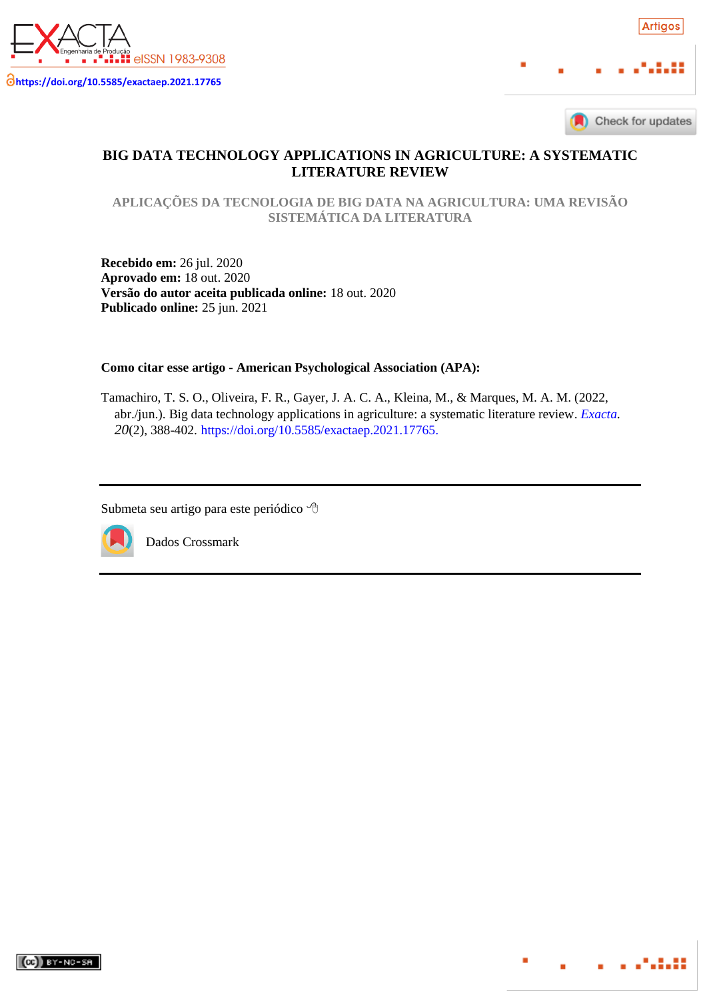



. . . . . . . .

# **BIG DATA TECHNOLOGY APPLICATIONS IN AGRICULTURE: A SYSTEMATIC LITERATURE REVIEW**

**APLICAÇÕES DA TECNOLOGIA DE BIG DATA NA AGRICULTURA: UMA REVISÃO SISTEMÁTICA DA LITERATURA**

**Recebido em:** 26 jul. 2020 **Aprovado em:** 18 out. 2020 **Versão do autor aceita publicada online:** 18 out. 2020 **Publicado online:** 25 jun. 2021

**Como citar esse artigo - American Psychological Association (APA):**

Tamachiro, T. S. O., Oliveira, F. R., Gayer, J. A. C. A., Kleina, M., & Marques, M. A. M. (2022, abr./jun.). Big data technology applications in agriculture: a systematic literature review. *[Exacta](https://periodicos.uninove.br/exacta/index). 20*(2), 388-402. [https://doi.org/10.5585/exactaep.2021.17765.](https://doi.org/10.5585/exactaep.2021.17765)

Submeta seu artigo para este periódico



Dados Crossmark

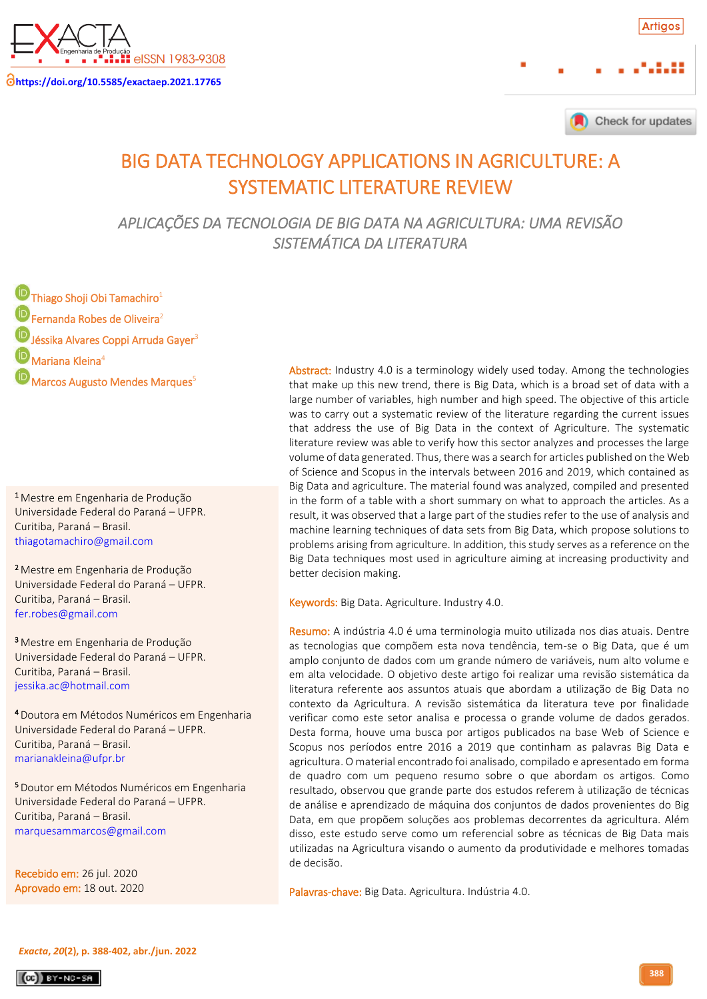

**<https://doi.org/10.5585/exactaep.2021.17765>**

Check for updates

# BIG DATA TECHNOLOGY APPLICATIONS IN AGRICULTURE: A SYSTEMATIC LITERATURE REVIEW

*APLICAÇÕES DA TECNOLOGIA DE BIG DATA NA AGRICULTURA: UMA REVISÃO SISTEMÁTICA DA LITERATURA* 

**D** Thiago Shoji Obi Tamachiro<sup>1</sup> **D** Fernanda Robes de Oliveira<sup>2</sup> D Jéssika Alvares Coppi Arruda Gayer<sup>3</sup>  $\bullet$  Mariana Kleina<sup>4</sup> Marcos Augusto Mendes Marques<sup>5</sup>

**1** Mestre em Engenharia de Produção Universidade Federal do Paraná – UFPR. Curitiba, Paraná – Brasil. ູ່ [thiagotamachiro@gmail.com](mailto:thiagotamachiro@gmail.com)

**<sup>2</sup> Mestre em Engenharia de Produção**  Universidade Federal do Paraná – UFPR. Curitiba, Paraná – Brasil. Į [fer.robes@gmail.com](mailto:fer.robes@gmail.com)

**<sup>3</sup>** Mestre em Engenharia de Produção Universidade Federal do Paraná – UFPR. Curitiba, Paraná – Brasil.  $\vdots$ [jessika.ac@hotmail.com](mailto:jessika.ac@hotmail.com)

**<sup>4</sup> Doutora em Métodos Numéricos em Engenharia**  Universidade Federal do Paraná – UFPR. Curitiba, Paraná – Brasil. ֧֧֦֧֦֧֦֧֦֧֦֧֦֧֦֧֦֧֦֧֦֧֦֧֦֧֦֧֦֧֦֧֪֪֪֪֧֚֬֓ [marianakleina@ufpr.br](mailto:marianakleina@ufpr.br)

**5**<br>Doutor em Métodos Numéricos em Engenharia Universidade Federal do Paraná – UFPR. Curitiba, Paraná – Brasil. j [marquesammarcos@gmail.com](mailto:marquesammarcos@gmail.com)

 Recebido em: 26 jul. 2020 ۔<br>د Aprovado em: 18 out. 2020

Abstract: Industry 4.0 is a terminology widely used today. Among the technologies that make up this new trend, there is Big Data, which is a broad set of data with a large number of variables, high number and high speed. The objective of this article was to carry out a systematic review of the literature regarding the current issues that address the use of Big Data in the context of Agriculture. The systematic literature review was able to verify how this sector analyzes and processes the large volume of data generated. Thus, there was a search for articles published on the Web of Science and Scopus in the intervals between 2016 and 2019, which contained as Big Data and agriculture. The material found was analyzed, compiled and presented in the form of a table with a short summary on what to approach the articles. As a result, it was observed that a large part of the studies refer to the use of analysis and machine learning techniques of data sets from Big Data, which propose solutions to problems arising from agriculture. In addition, this study serves as a reference on the Big Data techniques most used in agriculture aiming at increasing productivity and better decision making.

Keywords: Big Data. Agriculture. Industry 4.0.

Resumo: A indústria 4.0 é uma terminologia muito utilizada nos dias atuais. Dentre as tecnologias que compõem esta nova tendência, tem-se o Big Data, que é um amplo conjunto de dados com um grande número de variáveis, num alto volume e em alta velocidade. O objetivo deste artigo foi realizar uma revisão sistemática da literatura referente aos assuntos atuais que abordam a utilização de Big Data no contexto da Agricultura. A revisão sistemática da literatura teve por finalidade verificar como este setor analisa e processa o grande volume de dados gerados. Desta forma, houve uma busca por artigos publicados na base Web of Science e Scopus nos períodos entre 2016 a 2019 que continham as palavras Big Data e agricultura. O material encontrado foi analisado, compilado e apresentado em forma de quadro com um pequeno resumo sobre o que abordam os artigos. Como resultado, observou que grande parte dos estudos referem à utilização de técnicas de análise e aprendizado de máquina dos conjuntos de dados provenientes do Big Data, em que propõem soluções aos problemas decorrentes da agricultura. Além disso, este estudo serve como um referencial sobre as técnicas de Big Data mais utilizadas na Agricultura visando o aumento da produtividade e melhores tomadas de decisão.

Palavras-chave: Big Data. Agricultura. Indústria 4.0.

*[Exacta](http://www.revistaexacta.org.br/)***,** *20***(2), p. 388-402, abr./jun. 2022**

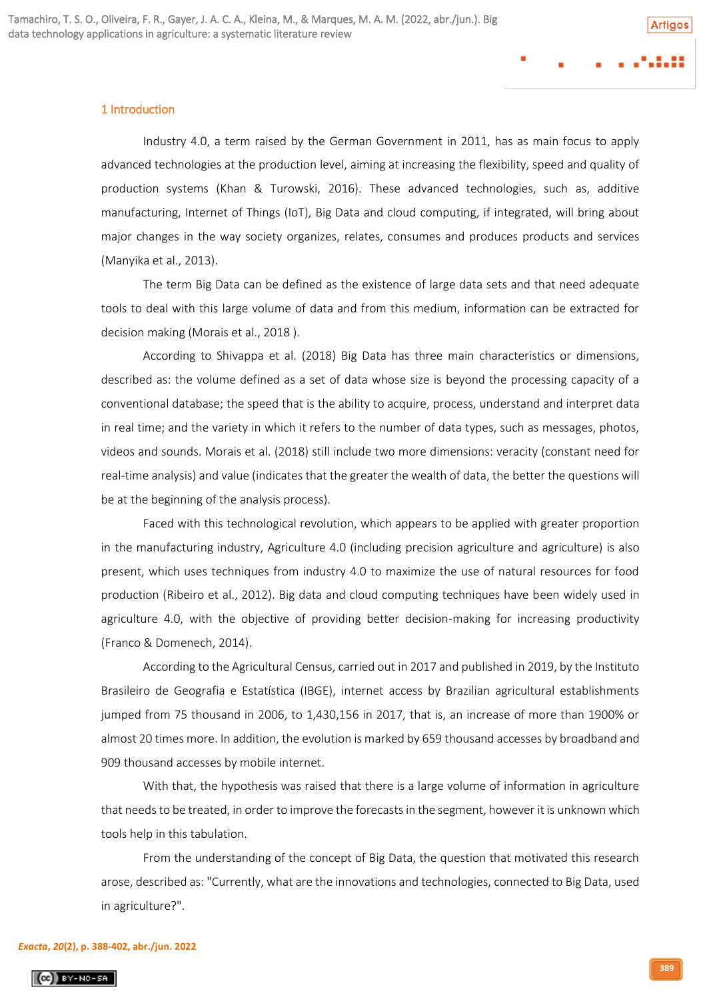## 1 Introduction

Industry 4.0, a term raised by the German Government in 2011, has as main focus to apply advanced technologies at the production level, aiming at increasing the flexibility, speed and quality of production systems (Khan & Turowski, 2016). These advanced technologies, such as, additive manufacturing, Internet of Things (IoT), Big Data and cloud computing, if integrated, will bring about major changes in the way society organizes, relates, consumes and produces products and services (Manyika et al., 2013).

The term Big Data can be defined as the existence of large data sets and that need adequate tools to deal with this large volume of data and from this medium, information can be extracted for decision making (Morais et al., 2018 ).

According to Shivappa et al. (2018) Big Data has three main characteristics or dimensions, described as: the volume defined as a set of data whose size is beyond the processing capacity of a conventional database; the speed that is the ability to acquire, process, understand and interpret data in real time; and the variety in which it refers to the number of data types, such as messages, photos, videos and sounds. Morais et al. (2018) still include two more dimensions: veracity (constant need for real-time analysis) and value (indicates that the greater the wealth of data, the better the questions will be at the beginning of the analysis process).

Faced with this technological revolution, which appears to be applied with greater proportion in the manufacturing industry, Agriculture 4.0 (including precision agriculture and agriculture) is also present, which uses techniques from industry 4.0 to maximize the use of natural resources for food production (Ribeiro et al., 2012). Big data and cloud computing techniques have been widely used in agriculture 4.0, with the objective of providing better decision-making for increasing productivity (Franco & Domenech, 2014).

According to the Agricultural Census, carried out in 2017 and published in 2019, by the Instituto Brasileiro de Geografia e Estatística (IBGE), internet access by Brazilian agricultural establishments jumped from 75 thousand in 2006, to 1,430,156 in 2017, that is, an increase of more than 1900% or almost 20 times more. In addition, the evolution is marked by 659 thousand accesses by broadband and 909 thousand accesses by mobile internet.

With that, the hypothesis was raised that there is a large volume of information in agriculture that needs to be treated, in order to improve the forecasts in the segment, however it is unknown which tools help in this tabulation.

From the understanding of the concept of Big Data, the question that motivated this research arose, described as: "Currently, what are the innovations and technologies, connected to Big Data, used in agriculture?".

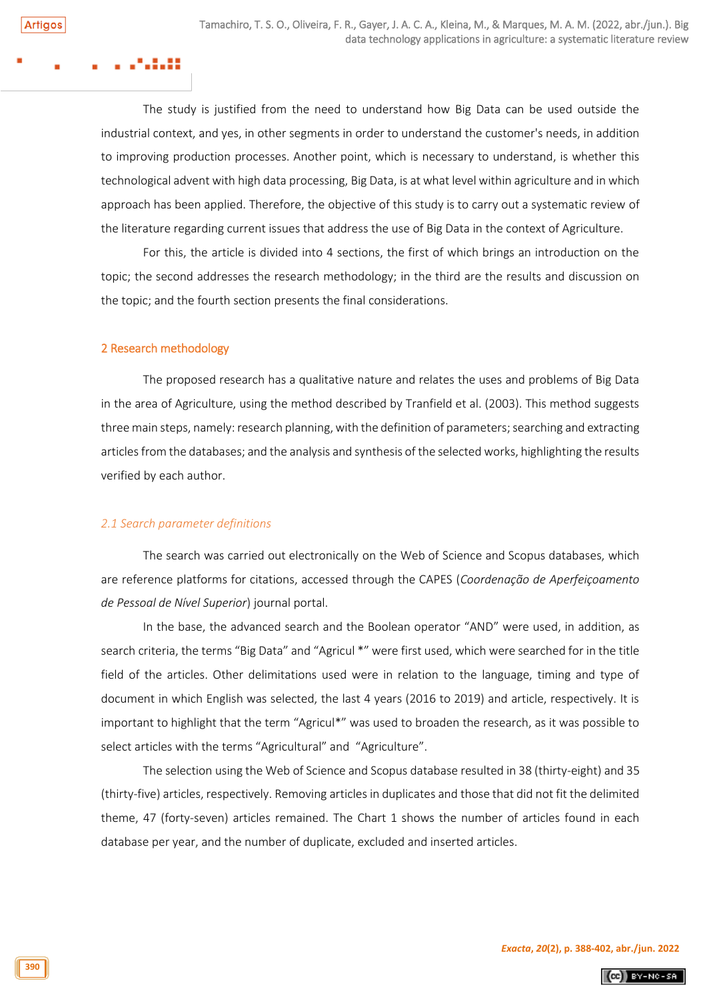The study is justified from the need to understand how Big Data can be used outside the industrial context, and yes, in other segments in order to understand the customer's needs, in addition to improving production processes. Another point, which is necessary to understand, is whether this technological advent with high data processing, Big Data, is at what level within agriculture and in which approach has been applied. Therefore, the objective of this study is to carry out a systematic review of the literature regarding current issues that address the use of Big Data in the context of Agriculture.

For this, the article is divided into 4 sections, the first of which brings an introduction on the topic; the second addresses the research methodology; in the third are the results and discussion on the topic; and the fourth section presents the final considerations.

# 2 Research methodology

The proposed research has a qualitative nature and relates the uses and problems of Big Data in the area of Agriculture, using the method described by Tranfield et al. (2003). This method suggests three main steps, namely: research planning, with the definition of parameters; searching and extracting articles from the databases; and the analysis and synthesis of the selected works, highlighting the results verified by each author.

# *2.1 Search parameter definitions*

The search was carried out electronically on the Web of Science and Scopus databases, which are reference platforms for citations, accessed through the CAPES (*Coordenação de Aperfeiçoamento de Pessoal de Nível Superior*) journal portal.

In the base, the advanced search and the Boolean operator "AND" were used, in addition, as search criteria, the terms "Big Data" and "Agricul \*" were first used, which were searched for in the title field of the articles. Other delimitations used were in relation to the language, timing and type of document in which English was selected, the last 4 years (2016 to 2019) and article, respectively. It is important to highlight that the term "Agricul\*" was used to broaden the research, as it was possible to select articles with the terms "Agricultural" and "Agriculture".

The selection using the Web of Science and Scopus database resulted in 38 (thirty-eight) and 35 (thirty-five) articles, respectively. Removing articles in duplicates and those that did not fit the delimited theme, 47 (forty-seven) articles remained. The Chart 1 shows the number of articles found in each database per year, and the number of duplicate, excluded and inserted articles.

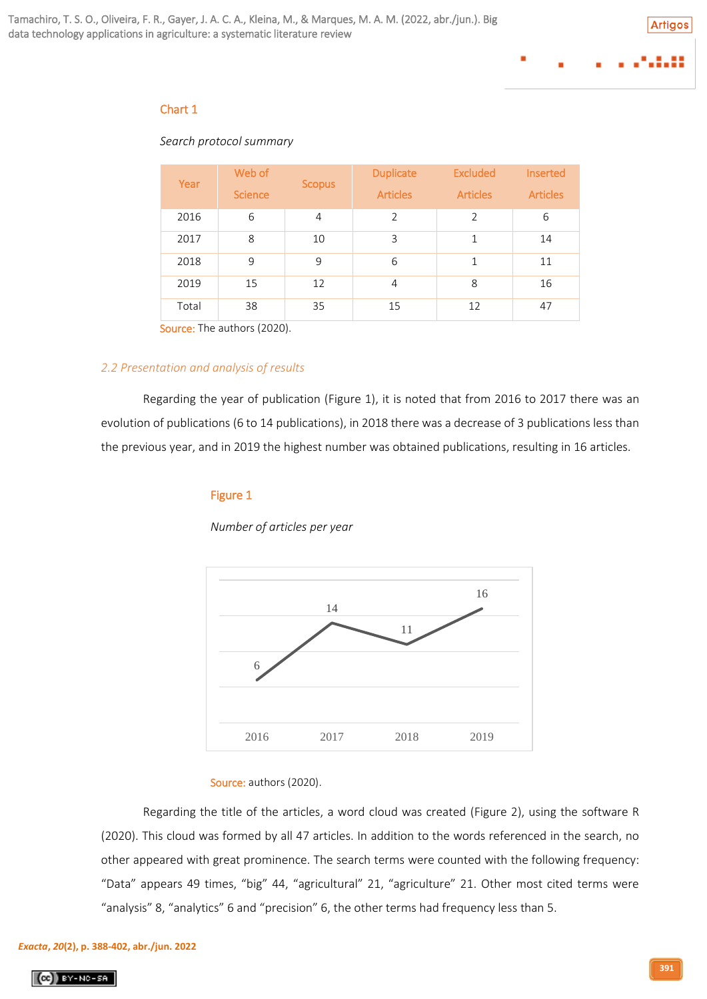# Chart 1

# *Search protocol summary*

| Year                                    | Web of         | <b>Scopus</b> | <b>Duplicate</b> | <b>Excluded</b> | <b>Inserted</b> |
|-----------------------------------------|----------------|---------------|------------------|-----------------|-----------------|
|                                         | <b>Science</b> |               | <b>Articles</b>  | <b>Articles</b> | <b>Articles</b> |
| 2016                                    | 6              | 4             | $\overline{2}$   | $\overline{2}$  | 6               |
| 2017                                    | 8              | 10            | 3                | 1               | 14              |
| 2018                                    | 9              | 9             | 6                | $\mathbf{1}$    | 11              |
| 2019                                    | 15             | 12            | $\overline{4}$   | 8               | 16              |
| Total                                   | 38             | 35            | 15               | 12              | 47              |
| $C = \frac{1}{2}$ The state of $(2020)$ |                |               |                  |                 |                 |

Source: The authors (2020).

# *2.2 Presentation and analysis of results*

Regarding the year of publication (Figure 1), it is noted that from 2016 to 2017 there was an evolution of publications (6 to 14 publications), in 2018 there was a decrease of 3 publications less than the previous year, and in 2019 the highest number was obtained publications, resulting in 16 articles.

# Figure 1

*Number of articles per year*



# Source: authors (2020).

Regarding the title of the articles, a word cloud was created (Figure 2), using the software R (2020). This cloud was formed by all 47 articles. In addition to the words referenced in the search, no other appeared with great prominence. The search terms were counted with the following frequency: "Data" appears 49 times, "big" 44, "agricultural" 21, "agriculture" 21. Other most cited terms were "analysis" 8, "analytics" 6 and "precision" 6, the other terms had frequency less than 5.

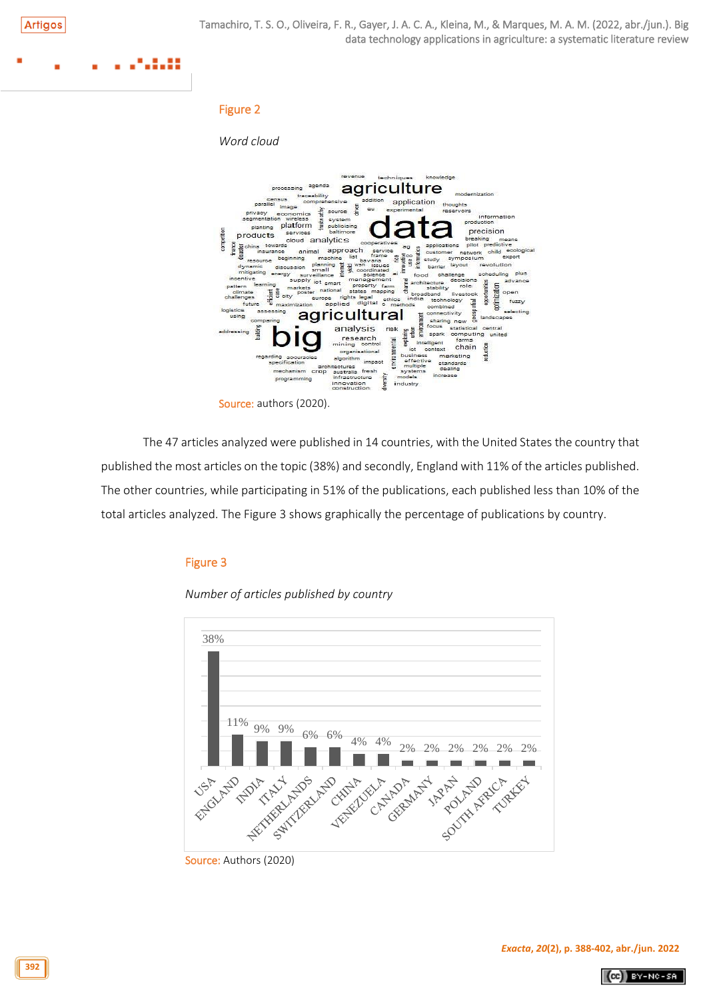# ---

# Figure 2

*Word cloud*



The 47 articles analyzed were published in 14 countries, with the United States the country that published the most articles on the topic (38%) and secondly, England with 11% of the articles published. The other countries, while participating in 51% of the publications, each published less than 10% of the total articles analyzed. The Figure 3 shows graphically the percentage of publications by country.

# Figure 3

*Number of articles published by country*



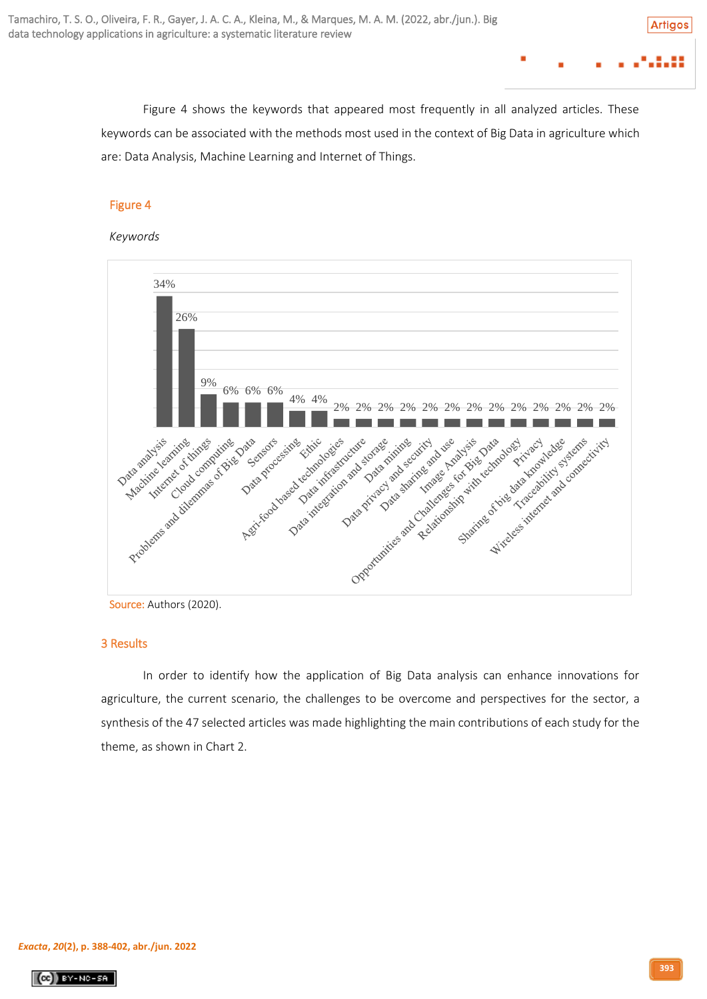Figure 4 shows the keywords that appeared most frequently in all analyzed articles. These keywords can be associated with the methods most used in the context of Big Data in agriculture which are: Data Analysis, Machine Learning and Internet of Things.

# Figure 4

# *Keywords*



Source: Authors (2020).

# 3 Results

In order to identify how the application of Big Data analysis can enhance innovations for agriculture, the current scenario, the challenges to be overcome and perspectives for the sector, a synthesis of the 47 selected articles was made highlighting the main contributions of each study for the theme, as shown in Chart 2.

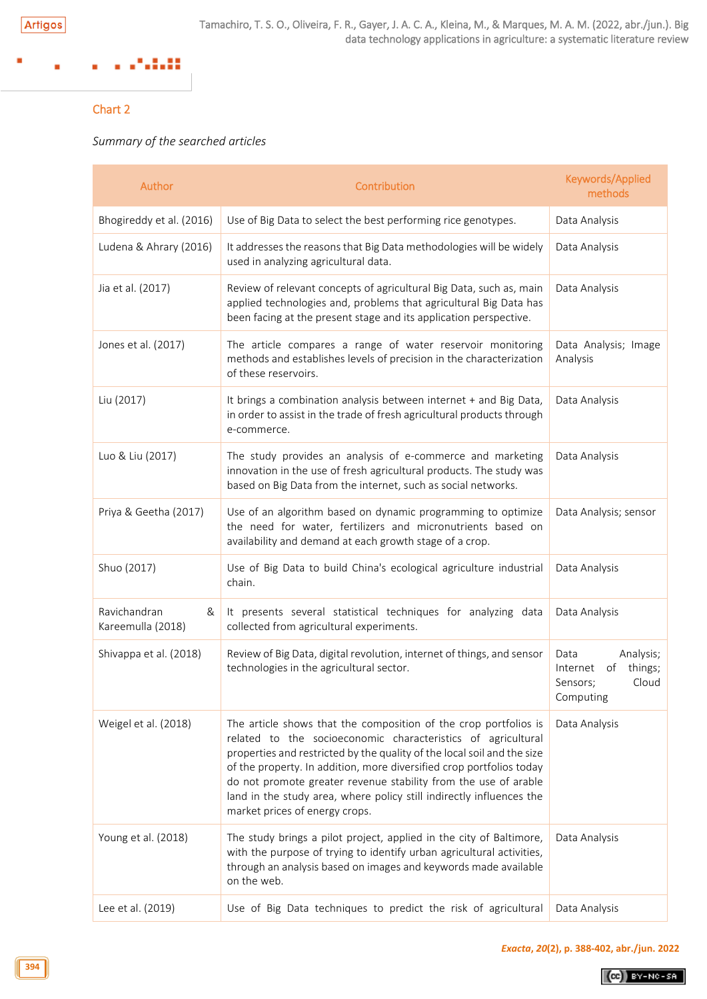### 200 ×

# Chart 2

# *Summary of the searched articles*

| Author                                 | Contribution                                                                                                                                                                                                                                                                                                                                                                                                                                                     | Keywords/Applied<br>methods                                                      |
|----------------------------------------|------------------------------------------------------------------------------------------------------------------------------------------------------------------------------------------------------------------------------------------------------------------------------------------------------------------------------------------------------------------------------------------------------------------------------------------------------------------|----------------------------------------------------------------------------------|
| Bhogireddy et al. (2016)               | Use of Big Data to select the best performing rice genotypes.                                                                                                                                                                                                                                                                                                                                                                                                    | Data Analysis                                                                    |
| Ludena & Ahrary (2016)                 | It addresses the reasons that Big Data methodologies will be widely<br>used in analyzing agricultural data.                                                                                                                                                                                                                                                                                                                                                      | Data Analysis                                                                    |
| Jia et al. (2017)                      | Review of relevant concepts of agricultural Big Data, such as, main<br>applied technologies and, problems that agricultural Big Data has<br>been facing at the present stage and its application perspective.                                                                                                                                                                                                                                                    | Data Analysis                                                                    |
| Jones et al. (2017)                    | The article compares a range of water reservoir monitoring<br>methods and establishes levels of precision in the characterization<br>of these reservoirs.                                                                                                                                                                                                                                                                                                        | Data Analysis; Image<br>Analysis                                                 |
| Liu (2017)                             | It brings a combination analysis between internet + and Big Data,<br>in order to assist in the trade of fresh agricultural products through<br>e-commerce.                                                                                                                                                                                                                                                                                                       | Data Analysis                                                                    |
| Luo & Liu (2017)                       | The study provides an analysis of e-commerce and marketing<br>innovation in the use of fresh agricultural products. The study was<br>based on Big Data from the internet, such as social networks.                                                                                                                                                                                                                                                               | Data Analysis                                                                    |
| Priya & Geetha (2017)                  | Use of an algorithm based on dynamic programming to optimize<br>the need for water, fertilizers and micronutrients based on<br>availability and demand at each growth stage of a crop.                                                                                                                                                                                                                                                                           | Data Analysis; sensor                                                            |
| Shuo (2017)                            | Use of Big Data to build China's ecological agriculture industrial<br>chain.                                                                                                                                                                                                                                                                                                                                                                                     | Data Analysis                                                                    |
| Ravichandran<br>&<br>Kareemulla (2018) | It presents several statistical techniques for analyzing data<br>collected from agricultural experiments.                                                                                                                                                                                                                                                                                                                                                        | Data Analysis                                                                    |
| Shivappa et al. (2018)                 | Review of Big Data, digital revolution, internet of things, and sensor<br>technologies in the agricultural sector.                                                                                                                                                                                                                                                                                                                                               | Data<br>Analysis;<br>things;<br>Internet<br>of<br>Cloud<br>Sensors;<br>Computing |
| Weigel et al. (2018)                   | The article shows that the composition of the crop portfolios is<br>related to the socioeconomic characteristics of agricultural<br>properties and restricted by the quality of the local soil and the size<br>of the property. In addition, more diversified crop portfolios today<br>do not promote greater revenue stability from the use of arable<br>land in the study area, where policy still indirectly influences the<br>market prices of energy crops. | Data Analysis                                                                    |
| Young et al. (2018)                    | The study brings a pilot project, applied in the city of Baltimore,<br>with the purpose of trying to identify urban agricultural activities,<br>through an analysis based on images and keywords made available<br>on the web.                                                                                                                                                                                                                                   | Data Analysis                                                                    |
| Lee et al. (2019)                      | Use of Big Data techniques to predict the risk of agricultural                                                                                                                                                                                                                                                                                                                                                                                                   | Data Analysis                                                                    |

 $(Cc)$  BY-NC-SA

**394**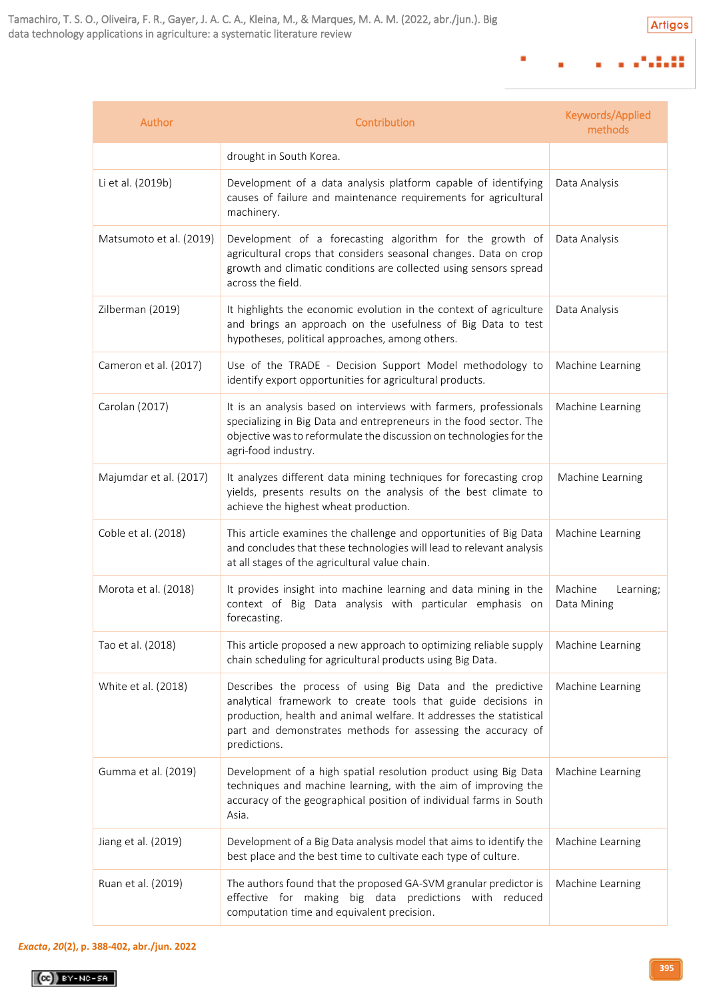### $17.313$  $\mathbf{r}$ ٠  $\blacksquare$

×

| Author                  | Contribution                                                                                                                                                                                                                                                                     | Keywords/Applied<br>methods         |
|-------------------------|----------------------------------------------------------------------------------------------------------------------------------------------------------------------------------------------------------------------------------------------------------------------------------|-------------------------------------|
|                         | drought in South Korea.                                                                                                                                                                                                                                                          |                                     |
| Li et al. (2019b)       | Development of a data analysis platform capable of identifying<br>causes of failure and maintenance requirements for agricultural<br>machinery.                                                                                                                                  | Data Analysis                       |
| Matsumoto et al. (2019) | Development of a forecasting algorithm for the growth of<br>agricultural crops that considers seasonal changes. Data on crop<br>growth and climatic conditions are collected using sensors spread<br>across the field.                                                           | Data Analysis                       |
| Zilberman (2019)        | It highlights the economic evolution in the context of agriculture<br>and brings an approach on the usefulness of Big Data to test<br>hypotheses, political approaches, among others.                                                                                            | Data Analysis                       |
| Cameron et al. (2017)   | Use of the TRADE - Decision Support Model methodology to<br>identify export opportunities for agricultural products.                                                                                                                                                             | Machine Learning                    |
| Carolan (2017)          | It is an analysis based on interviews with farmers, professionals<br>specializing in Big Data and entrepreneurs in the food sector. The<br>objective was to reformulate the discussion on technologies for the<br>agri-food industry.                                            | Machine Learning                    |
| Majumdar et al. (2017)  | It analyzes different data mining techniques for forecasting crop<br>yields, presents results on the analysis of the best climate to<br>achieve the highest wheat production.                                                                                                    | Machine Learning                    |
| Coble et al. (2018)     | This article examines the challenge and opportunities of Big Data<br>and concludes that these technologies will lead to relevant analysis<br>at all stages of the agricultural value chain.                                                                                      | Machine Learning                    |
| Morota et al. (2018)    | It provides insight into machine learning and data mining in the<br>context of Big Data analysis with particular emphasis on<br>forecasting.                                                                                                                                     | Machine<br>Learning;<br>Data Mining |
| Tao et al. (2018)       | This article proposed a new approach to optimizing reliable supply<br>chain scheduling for agricultural products using Big Data.                                                                                                                                                 | Machine Learning                    |
| White et al. (2018)     | Describes the process of using Big Data and the predictive<br>analytical framework to create tools that guide decisions in<br>production, health and animal welfare. It addresses the statistical<br>part and demonstrates methods for assessing the accuracy of<br>predictions. | Machine Learning                    |
| Gumma et al. (2019)     | Development of a high spatial resolution product using Big Data<br>techniques and machine learning, with the aim of improving the<br>accuracy of the geographical position of individual farms in South<br>Asia.                                                                 | Machine Learning                    |
| Jiang et al. (2019)     | Development of a Big Data analysis model that aims to identify the<br>best place and the best time to cultivate each type of culture.                                                                                                                                            | Machine Learning                    |
| Ruan et al. (2019)      | The authors found that the proposed GA-SVM granular predictor is<br>effective for making big data predictions with reduced<br>computation time and equivalent precision.                                                                                                         | Machine Learning                    |

# *[Exacta](http://www.revistaexacta.org.br/)***,** *20***(2), p. 388-402, abr./jun. 2022**

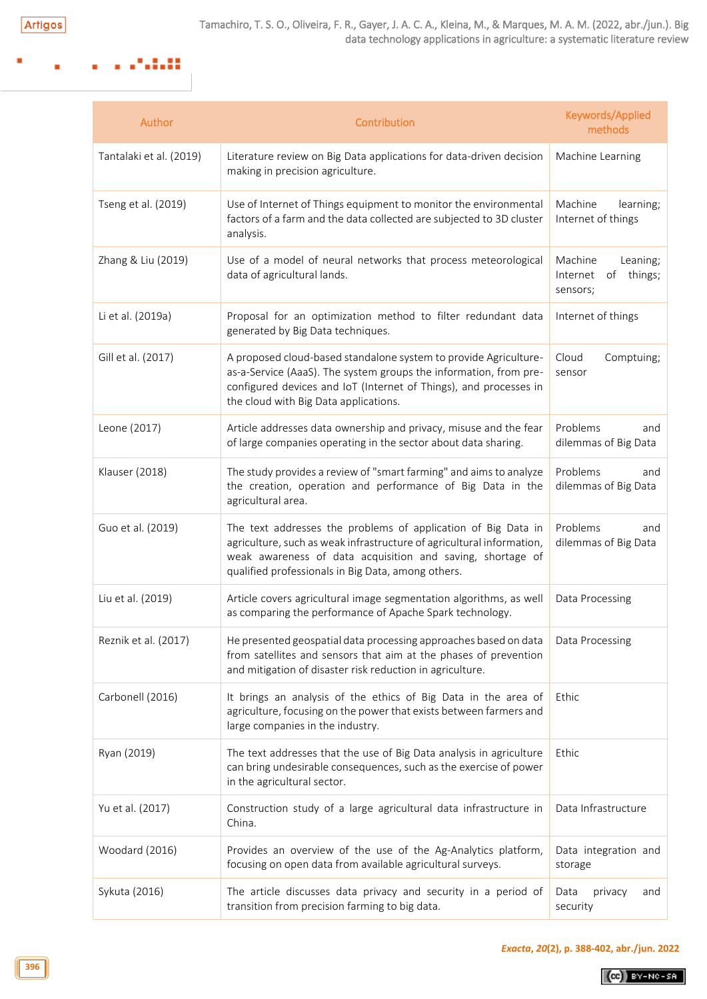### a ang pagpalan ×

| Author                  | Contribution                                                                                                                                                                                                                                               | Keywords/Applied<br>methods                                  |
|-------------------------|------------------------------------------------------------------------------------------------------------------------------------------------------------------------------------------------------------------------------------------------------------|--------------------------------------------------------------|
| Tantalaki et al. (2019) | Literature review on Big Data applications for data-driven decision<br>making in precision agriculture.                                                                                                                                                    | Machine Learning                                             |
| Tseng et al. (2019)     | Use of Internet of Things equipment to monitor the environmental<br>factors of a farm and the data collected are subjected to 3D cluster<br>analysis.                                                                                                      | Machine<br>learning;<br>Internet of things                   |
| Zhang & Liu (2019)      | Use of a model of neural networks that process meteorological<br>data of agricultural lands.                                                                                                                                                               | Machine<br>Leaning;<br>things;<br>Internet<br>of<br>sensors; |
| Li et al. (2019a)       | Proposal for an optimization method to filter redundant data<br>generated by Big Data techniques.                                                                                                                                                          | Internet of things                                           |
| Gill et al. (2017)      | A proposed cloud-based standalone system to provide Agriculture-<br>as-a-Service (AaaS). The system groups the information, from pre-<br>configured devices and IoT (Internet of Things), and processes in<br>the cloud with Big Data applications.        | Cloud<br>Comptuing;<br>sensor                                |
| Leone (2017)            | Article addresses data ownership and privacy, misuse and the fear<br>of large companies operating in the sector about data sharing.                                                                                                                        | Problems<br>and<br>dilemmas of Big Data                      |
| Klauser (2018)          | The study provides a review of "smart farming" and aims to analyze<br>the creation, operation and performance of Big Data in the<br>agricultural area.                                                                                                     | Problems<br>and<br>dilemmas of Big Data                      |
| Guo et al. (2019)       | The text addresses the problems of application of Big Data in<br>agriculture, such as weak infrastructure of agricultural information,<br>weak awareness of data acquisition and saving, shortage of<br>qualified professionals in Big Data, among others. | Problems<br>and<br>dilemmas of Big Data                      |
| Liu et al. (2019)       | Article covers agricultural image segmentation algorithms, as well<br>as comparing the performance of Apache Spark technology.                                                                                                                             | Data Processing                                              |
| Reznik et al. (2017)    | He presented geospatial data processing approaches based on data<br>from satellites and sensors that aim at the phases of prevention<br>and mitigation of disaster risk reduction in agriculture.                                                          | Data Processing                                              |
| Carbonell (2016)        | It brings an analysis of the ethics of Big Data in the area of<br>agriculture, focusing on the power that exists between farmers and<br>large companies in the industry.                                                                                   | Ethic                                                        |
| Ryan (2019)             | The text addresses that the use of Big Data analysis in agriculture<br>can bring undesirable consequences, such as the exercise of power<br>in the agricultural sector.                                                                                    | Ethic                                                        |
| Yu et al. (2017)        | Construction study of a large agricultural data infrastructure in<br>China.                                                                                                                                                                                | Data Infrastructure                                          |
| Woodard (2016)          | Provides an overview of the use of the Ag-Analytics platform,<br>focusing on open data from available agricultural surveys.                                                                                                                                | Data integration and<br>storage                              |
| Sykuta (2016)           | The article discusses data privacy and security in a period of<br>transition from precision farming to big data.                                                                                                                                           | Data<br>privacy<br>and<br>security                           |

 $(G)$  BY-NC-SA

**396**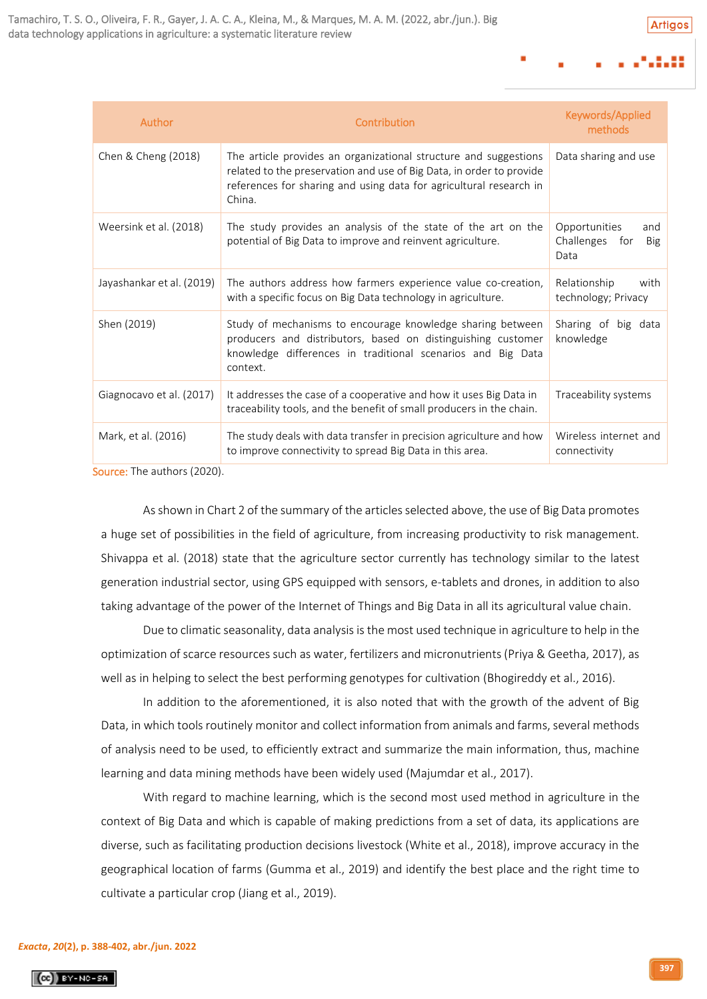**Artigos** 

| Author                      | Contribution                                                                                                                                                                                                             | Keywords/Applied<br>methods                           |
|-----------------------------|--------------------------------------------------------------------------------------------------------------------------------------------------------------------------------------------------------------------------|-------------------------------------------------------|
| Chen & Cheng (2018)         | The article provides an organizational structure and suggestions<br>related to the preservation and use of Big Data, in order to provide<br>references for sharing and using data for agricultural research in<br>China. | Data sharing and use                                  |
| Weersink et al. (2018)      | The study provides an analysis of the state of the art on the<br>potential of Big Data to improve and reinvent agriculture.                                                                                              | Opportunities<br>and<br>Challenges for<br>Big<br>Data |
| Jayashankar et al. (2019)   | The authors address how farmers experience value co-creation,<br>with a specific focus on Big Data technology in agriculture.                                                                                            | Relationship<br>with<br>technology; Privacy           |
| Shen (2019)                 | Study of mechanisms to encourage knowledge sharing between<br>producers and distributors, based on distinguishing customer<br>knowledge differences in traditional scenarios and Big Data<br>context.                    | Sharing of big data<br>knowledge                      |
| Giagnocavo et al. (2017)    | It addresses the case of a cooperative and how it uses Big Data in<br>traceability tools, and the benefit of small producers in the chain.                                                                               | Traceability systems                                  |
| Mark, et al. (2016)         | The study deals with data transfer in precision agriculture and how<br>to improve connectivity to spread Big Data in this area.                                                                                          | Wireless internet and<br>connectivity                 |
| Source: The authors (2020). |                                                                                                                                                                                                                          |                                                       |

As shown in Chart 2 of the summary of the articles selected above, the use of Big Data promotes a huge set of possibilities in the field of agriculture, from increasing productivity to risk management. Shivappa et al. (2018) state that the agriculture sector currently has technology similar to the latest generation industrial sector, using GPS equipped with sensors, e-tablets and drones, in addition to also taking advantage of the power of the Internet of Things and Big Data in all its agricultural value chain.

Due to climatic seasonality, data analysis is the most used technique in agriculture to help in the optimization of scarce resources such as water, fertilizers and micronutrients (Priya & Geetha, 2017), as well as in helping to select the best performing genotypes for cultivation (Bhogireddy et al., 2016).

In addition to the aforementioned, it is also noted that with the growth of the advent of Big Data, in which tools routinely monitor and collect information from animals and farms, several methods of analysis need to be used, to efficiently extract and summarize the main information, thus, machine learning and data mining methods have been widely used (Majumdar et al., 2017).

With regard to machine learning, which is the second most used method in agriculture in the context of Big Data and which is capable of making predictions from a set of data, its applications are diverse, such as facilitating production decisions livestock (White et al., 2018), improve accuracy in the geographical location of farms (Gumma et al., 2019) and identify the best place and the right time to cultivate a particular crop (Jiang et al., 2019).

# *[Exacta](http://www.revistaexacta.org.br/)***,** *20***(2), p. 388-402, abr./jun. 2022**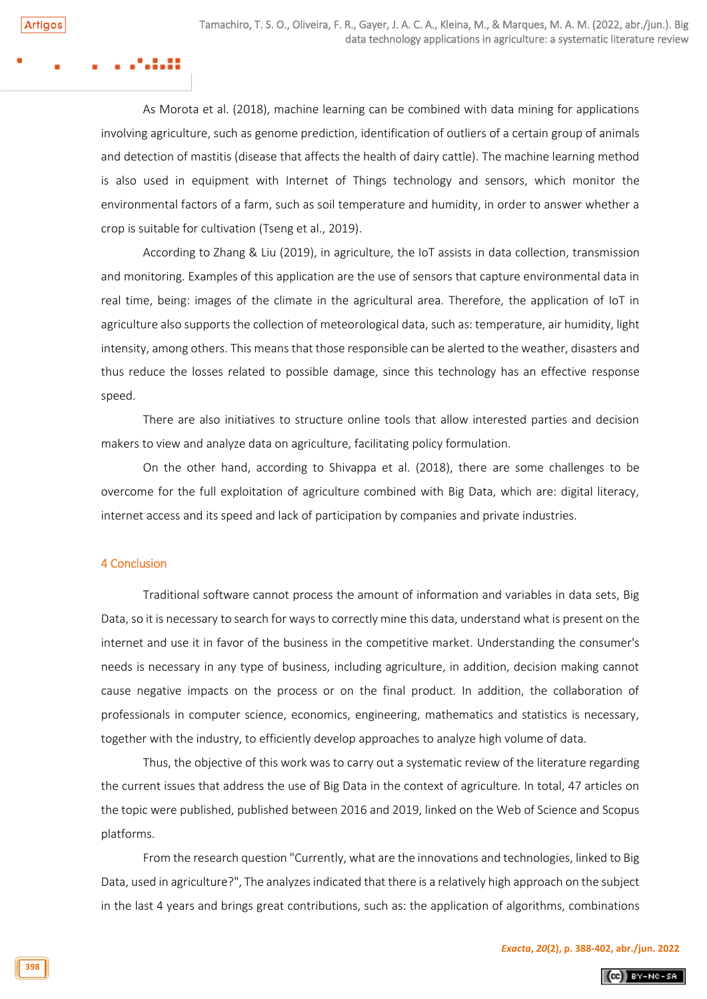As Morota et al. (2018), machine learning can be combined with data mining for applications involving agriculture, such as genome prediction, identification of outliers of a certain group of animals and detection of mastitis (disease that affects the health of dairy cattle). The machine learning method is also used in equipment with Internet of Things technology and sensors, which monitor the environmental factors of a farm, such as soil temperature and humidity, in order to answer whether a crop is suitable for cultivation (Tseng et al., 2019).

According to Zhang & Liu (2019), in agriculture, the IoT assists in data collection, transmission and monitoring. Examples of this application are the use of sensors that capture environmental data in real time, being: images of the climate in the agricultural area. Therefore, the application of IoT in agriculture also supports the collection of meteorological data, such as: temperature, air humidity, light intensity, among others. This means that those responsible can be alerted to the weather, disasters and thus reduce the losses related to possible damage, since this technology has an effective response speed.

There are also initiatives to structure online tools that allow interested parties and decision makers to view and analyze data on agriculture, facilitating policy formulation.

On the other hand, according to Shivappa et al. (2018), there are some challenges to be overcome for the full exploitation of agriculture combined with Big Data, which are: digital literacy, internet access and its speed and lack of participation by companies and private industries.

# 4 Conclusion

Traditional software cannot process the amount of information and variables in data sets, Big Data, so it is necessary to search for ways to correctly mine this data, understand what is present on the internet and use it in favor of the business in the competitive market. Understanding the consumer's needs is necessary in any type of business, including agriculture, in addition, decision making cannot cause negative impacts on the process or on the final product. In addition, the collaboration of professionals in computer science, economics, engineering, mathematics and statistics is necessary, together with the industry, to efficiently develop approaches to analyze high volume of data.

Thus, the objective of this work was to carry out a systematic review of the literature regarding the current issues that address the use of Big Data in the context of agriculture. In total, 47 articles on the topic were published, published between 2016 and 2019, linked on the Web of Science and Scopus platforms.

From the research question "Currently, what are the innovations and technologies, linked to Big Data, used in agriculture?", The analyzes indicated that there is a relatively high approach on the subject in the last 4 years and brings great contributions, such as: the application of algorithms, combinations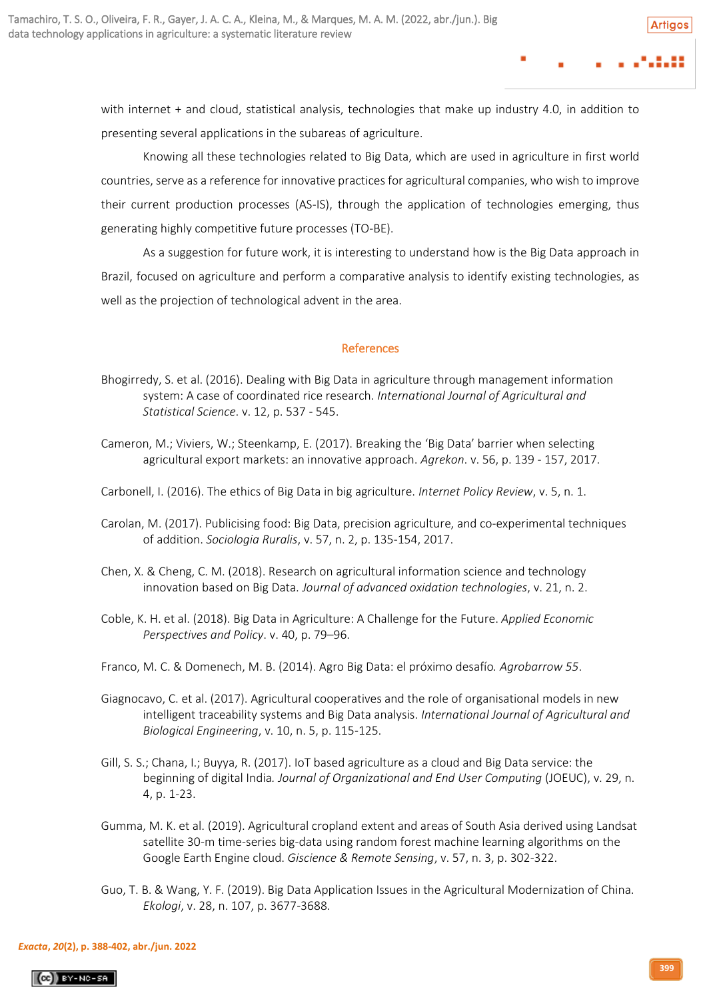with internet + and cloud, statistical analysis, technologies that make up industry 4.0, in addition to presenting several applications in the subareas of agriculture.

Knowing all these technologies related to Big Data, which are used in agriculture in first world countries, serve as a reference for innovative practices for agricultural companies, who wish to improve their current production processes (AS-IS), through the application of technologies emerging, thus generating highly competitive future processes (TO-BE).

As a suggestion for future work, it is interesting to understand how is the Big Data approach in Brazil, focused on agriculture and perform a comparative analysis to identify existing technologies, as well as the projection of technological advent in the area.

# **References**

- Bhogirredy, S. et al. (2016). Dealing with Big Data in agriculture through management information system: A case of coordinated rice research. *International Journal of Agricultural and Statistical Science*. v. 12, p. 537 - 545.
- Cameron, M.; Viviers, W.; Steenkamp, E. (2017). Breaking the 'Big Data' barrier when selecting agricultural export markets: an innovative approach. *Agrekon*. v. 56, p. 139 - 157, 2017.
- Carbonell, I. (2016). The ethics of Big Data in big agriculture. *Internet Policy Review*, v. 5, n. 1.
- Carolan, M. (2017). Publicising food: Big Data, precision agriculture, and co‐experimental techniques of addition. *Sociologia Ruralis*, v. 57, n. 2, p. 135-154, 2017.
- Chen, X. & Cheng, C. M. (2018). Research on agricultural information science and technology innovation based on Big Data. *Journal of advanced oxidation technologies*, v. 21, n. 2.
- Coble, K. H. et al. (2018). Big Data in Agriculture: A Challenge for the Future. *Applied Economic Perspectives and Policy*. v. 40, p. 79–96.
- Franco, M. C. & Domenech, M. B. (2014). Agro Big Data: el próximo desafío*. Agrobarrow 55*.
- Giagnocavo, C. et al. (2017). Agricultural cooperatives and the role of organisational models in new intelligent traceability systems and Big Data analysis. *International Journal of Agricultural and Biological Engineering*, v. 10, n. 5, p. 115-125.
- Gill, S. S.; Chana, I.; Buyya, R. (2017). IoT based agriculture as a cloud and Big Data service: the beginning of digital India*. Journal of Organizational and End User Computing* (JOEUC), v. 29, n. 4, p. 1-23.
- Gumma, M. K. et al. (2019). Agricultural cropland extent and areas of South Asia derived using Landsat satellite 30-m time-series big-data using random forest machine learning algorithms on the Google Earth Engine cloud. *Giscience & Remote Sensing*, v. 57, n. 3, p. 302-322.
- Guo, T. B. & Wang, Y. F. (2019). Big Data Application Issues in the Agricultural Modernization of China. *Ekologi*, v. 28, n. 107, p. 3677-3688.

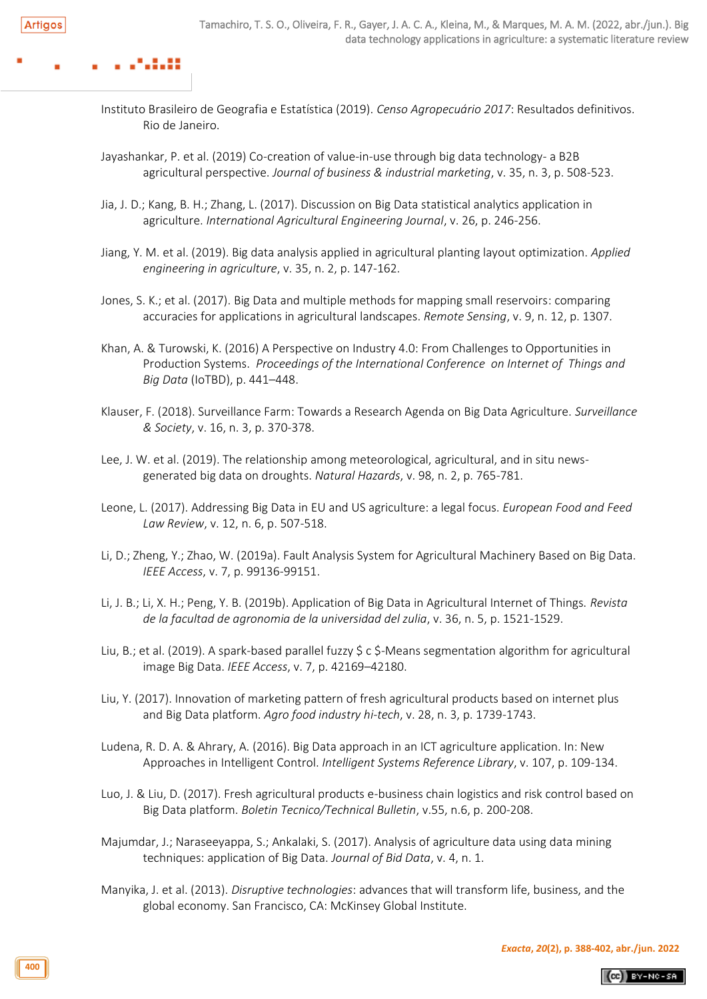- Instituto Brasileiro de Geografia e Estatística (2019). *Censo Agropecuário 2017*: Resultados definitivos. Rio de Janeiro.
- Jayashankar, P. et al. (2019) Co-creation of value-in-use through big data technology- a B2B agricultural perspective. *Journal of business & industrial marketing*, v. 35, n. 3, p. 508-523.
- Jia, J. D.; Kang, B. H.; Zhang, L. (2017). Discussion on Big Data statistical analytics application in agriculture. *International Agricultural Engineering Journal*, v. 26, p. 246-256.
- Jiang, Y. M. et al. (2019). Big data analysis applied in agricultural planting layout optimization. *Applied engineering in agriculture*, v. 35, n. 2, p. 147-162.
- Jones, S. K.; et al. (2017). Big Data and multiple methods for mapping small reservoirs: comparing accuracies for applications in agricultural landscapes. *Remote Sensing*, v. 9, n. 12, p. 1307.
- Khan, A. & Turowski, K. (2016) A Perspective on Industry 4.0: From Challenges to Opportunities in Production Systems. *Proceedings of the International Conference on Internet of Things and Big Data* (IoTBD), p. 441–448.
- Klauser, F. (2018). Surveillance Farm: Towards a Research Agenda on Big Data Agriculture. *Surveillance & Society*, v. 16, n. 3, p. 370-378.
- Lee, J. W. et al. (2019). The relationship among meteorological, agricultural, and in situ newsgenerated big data on droughts. *Natural Hazards*, v. 98, n. 2, p. 765-781.
- Leone, L. (2017). Addressing Big Data in EU and US agriculture: a legal focus. *European Food and Feed Law Review*, v. 12, n. 6, p. 507-518.
- Li, D.; Zheng, Y.; Zhao, W. (2019a). Fault Analysis System for Agricultural Machinery Based on Big Data. *IEEE Access*, v. 7, p. 99136-99151.
- Li, J. B.; Li, X. H.; Peng, Y. B. (2019b). Application of Big Data in Agricultural Internet of Things. *Revista de la facultad de agronomia de la universidad del zulia*, v. 36, n. 5, p. 1521-1529.
- Liu, B.; et al. (2019). A spark-based parallel fuzzy \$ c \$-Means segmentation algorithm for agricultural image Big Data. *IEEE Access*, v. 7, p. 42169–42180.
- Liu, Y. (2017). Innovation of marketing pattern of fresh agricultural products based on internet plus and Big Data platform. *Agro food industry hi-tech*, v. 28, n. 3, p. 1739-1743.
- Ludena, R. D. A. & Ahrary, A. (2016). Big Data approach in an ICT agriculture application. In: New Approaches in Intelligent Control. *Intelligent Systems Reference Library*, v. 107, p. 109-134.
- Luo, J. & Liu, D. (2017). Fresh agricultural products e-business chain logistics and risk control based on Big Data platform. *Boletin Tecnico/Technical Bulletin*, v.55, n.6, p. 200-208.
- Majumdar, J.; Naraseeyappa, S.; Ankalaki, S. (2017). Analysis of agriculture data using data mining techniques: application of Big Data. *Journal of Bid Data*, v. 4, n. 1.
- Manyika, J. et al. (2013). *Disruptive technologies*: advances that will transform life, business, and the global economy. San Francisco, CA: McKinsey Global Institute.

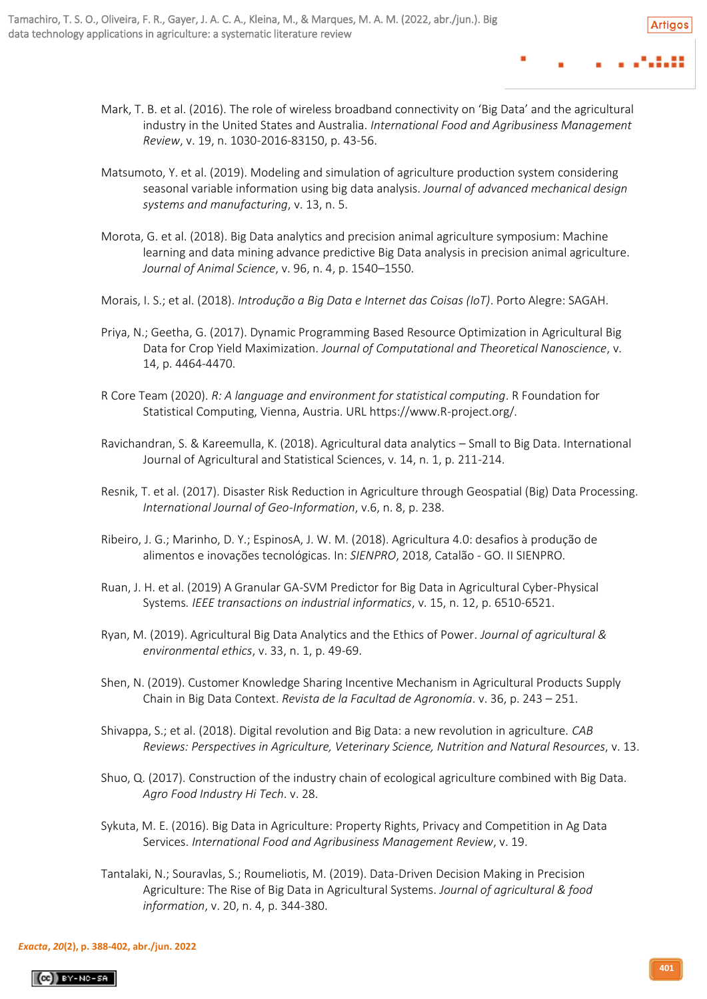- Mark, T. B. et al. (2016). The role of wireless broadband connectivity on 'Big Data' and the agricultural industry in the United States and Australia. *International Food and Agribusiness Management Review*, v. 19, n. 1030-2016-83150, p. 43-56.
- Matsumoto, Y. et al. (2019). Modeling and simulation of agriculture production system considering seasonal variable information using big data analysis. *Journal of advanced mechanical design systems and manufacturing*, v. 13, n. 5.
- Morota, G. et al. (2018). Big Data analytics and precision animal agriculture symposium: Machine learning and data mining advance predictive Big Data analysis in precision animal agriculture. *Journal of Animal Science*, v. 96, n. 4, p. 1540–1550.
- Morais, I. S.; et al. (2018). *Introdução a Big Data e Internet das Coisas (IoT)*. Porto Alegre: SAGAH.
- Priya, N.; Geetha, G. (2017). Dynamic Programming Based Resource Optimization in Agricultural Big Data for Crop Yield Maximization. *Journal of Computational and Theoretical Nanoscience*, v. 14, p. 4464-4470.
- R Core Team (2020). *R: A language and environment for statistical computing*. R Foundation for Statistical Computing, Vienna, Austria. URL https://www.R-project.org/.
- Ravichandran, S. & Kareemulla, K. (2018). Agricultural data analytics Small to Big Data. International Journal of Agricultural and Statistical Sciences, v. 14, n. 1, p. 211-214.
- Resnik, T. et al. (2017). Disaster Risk Reduction in Agriculture through Geospatial (Big) Data Processing. *International Journal of Geo-Information*, v.6, n. 8, p. 238.
- Ribeiro, J. G.; Marinho, D. Y.; EspinosA, J. W. M. (2018). Agricultura 4.0: desafios à produção de alimentos e inovações tecnológicas. In: *SIENPRO*, 2018, Catalão - GO. II SIENPRO.
- Ruan, J. H. et al. (2019) A Granular GA-SVM Predictor for Big Data in Agricultural Cyber-Physical Systems*. IEEE transactions on industrial informatics*, v. 15, n. 12, p. 6510-6521.
- Ryan, M. (2019). Agricultural Big Data Analytics and the Ethics of Power. *Journal of agricultural & environmental ethics*, v. 33, n. 1, p. 49-69.
- Shen, N. (2019). Customer Knowledge Sharing Incentive Mechanism in Agricultural Products Supply Chain in Big Data Context. *Revista de la Facultad de Agronomía*. v. 36, p. 243 – 251.
- Shivappa, S.; et al. (2018). Digital revolution and Big Data: a new revolution in agriculture. *CAB Reviews: Perspectives in Agriculture, Veterinary Science, Nutrition and Natural Resources*, v. 13.
- Shuo, Q. (2017). Construction of the industry chain of ecological agriculture combined with Big Data. *Agro Food Industry Hi Tech*. v. 28.
- Sykuta, M. E. (2016). Big Data in Agriculture: Property Rights, Privacy and Competition in Ag Data Services. *International Food and Agribusiness Management Review*, v. 19.
- Tantalaki, N.; Souravlas, S.; Roumeliotis, M. (2019). Data-Driven Decision Making in Precision Agriculture: The Rise of Big Data in Agricultural Systems. *Journal of agricultural & food information*, v. 20, n. 4, p. 344-380.